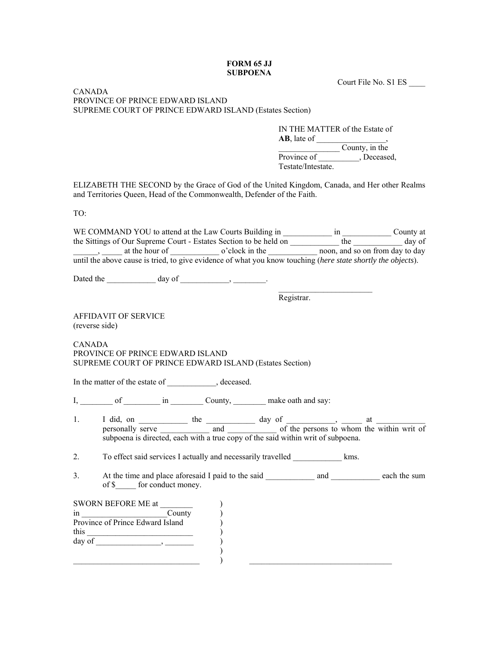## **FORM 65 JJ SUBPOENA**

Court File No. S1 ES \_\_\_\_

## CANADA PROVINCE OF PRINCE EDWARD ISLAND SUPREME COURT OF PRINCE EDWARD ISLAND (Estates Section)

IN THE MATTER of the Estate of  $AB$ , late of  $\qquad \qquad$  $\overline{\phantom{a}}$  County, in the Province of Flower Province of Testerstein, Deceased, Testate/Intestate.

ELIZABETH THE SECOND by the Grace of God of the United Kingdom, Canada, and Her other Realms and Territories Queen, Head of the Commonwealth, Defender of the Faith.

TO:

|               |                                                                                                                                                                          |                          |                                                                               |  |  | the Sittings of Our Supreme Court - Estates Section to be held on ____________ the ____________ day of       |
|---------------|--------------------------------------------------------------------------------------------------------------------------------------------------------------------------|--------------------------|-------------------------------------------------------------------------------|--|--|--------------------------------------------------------------------------------------------------------------|
|               | at the hour of o'clock in the noon, and so on from day to day                                                                                                            |                          |                                                                               |  |  |                                                                                                              |
|               |                                                                                                                                                                          |                          |                                                                               |  |  | until the above cause is tried, to give evidence of what you know touching (here state shortly the objects). |
|               |                                                                                                                                                                          |                          |                                                                               |  |  |                                                                                                              |
|               |                                                                                                                                                                          |                          |                                                                               |  |  |                                                                                                              |
|               |                                                                                                                                                                          |                          |                                                                               |  |  |                                                                                                              |
|               | Registrar.                                                                                                                                                               |                          |                                                                               |  |  |                                                                                                              |
|               | <b>AFFIDAVIT OF SERVICE</b>                                                                                                                                              |                          |                                                                               |  |  |                                                                                                              |
|               | (reverse side)                                                                                                                                                           |                          |                                                                               |  |  |                                                                                                              |
|               |                                                                                                                                                                          |                          |                                                                               |  |  |                                                                                                              |
| <b>CANADA</b> |                                                                                                                                                                          |                          |                                                                               |  |  |                                                                                                              |
|               | PROVINCE OF PRINCE EDWARD ISLAND                                                                                                                                         |                          |                                                                               |  |  |                                                                                                              |
|               |                                                                                                                                                                          |                          | SUPREME COURT OF PRINCE EDWARD ISLAND (Estates Section)                       |  |  |                                                                                                              |
|               | In the matter of the estate of ____________, deceased.                                                                                                                   |                          |                                                                               |  |  |                                                                                                              |
|               |                                                                                                                                                                          |                          | I, ________ of ___________ in __________ County, _________ make oath and say: |  |  |                                                                                                              |
| 1.            |                                                                                                                                                                          |                          |                                                                               |  |  |                                                                                                              |
|               |                                                                                                                                                                          |                          |                                                                               |  |  |                                                                                                              |
|               | I did, on personally serve the and the day of the persons to whom the within writ of<br>subpoena is directed, each with a true copy of the said within writ of subpoena. |                          |                                                                               |  |  |                                                                                                              |
| 2.            |                                                                                                                                                                          |                          | To effect said services I actually and necessarily travelled kms.             |  |  |                                                                                                              |
|               |                                                                                                                                                                          |                          |                                                                               |  |  |                                                                                                              |
| 3.            |                                                                                                                                                                          |                          |                                                                               |  |  | At the time and place aforesaid I paid to the said and each the sum and each the sum                         |
|               |                                                                                                                                                                          | of \$ for conduct money. |                                                                               |  |  |                                                                                                              |
|               |                                                                                                                                                                          |                          |                                                                               |  |  |                                                                                                              |
|               |                                                                                                                                                                          |                          |                                                                               |  |  |                                                                                                              |
|               | Province of Prince Edward Island                                                                                                                                         |                          |                                                                               |  |  |                                                                                                              |
|               |                                                                                                                                                                          |                          |                                                                               |  |  |                                                                                                              |
|               |                                                                                                                                                                          |                          |                                                                               |  |  |                                                                                                              |
|               |                                                                                                                                                                          |                          |                                                                               |  |  |                                                                                                              |
|               |                                                                                                                                                                          |                          |                                                                               |  |  |                                                                                                              |